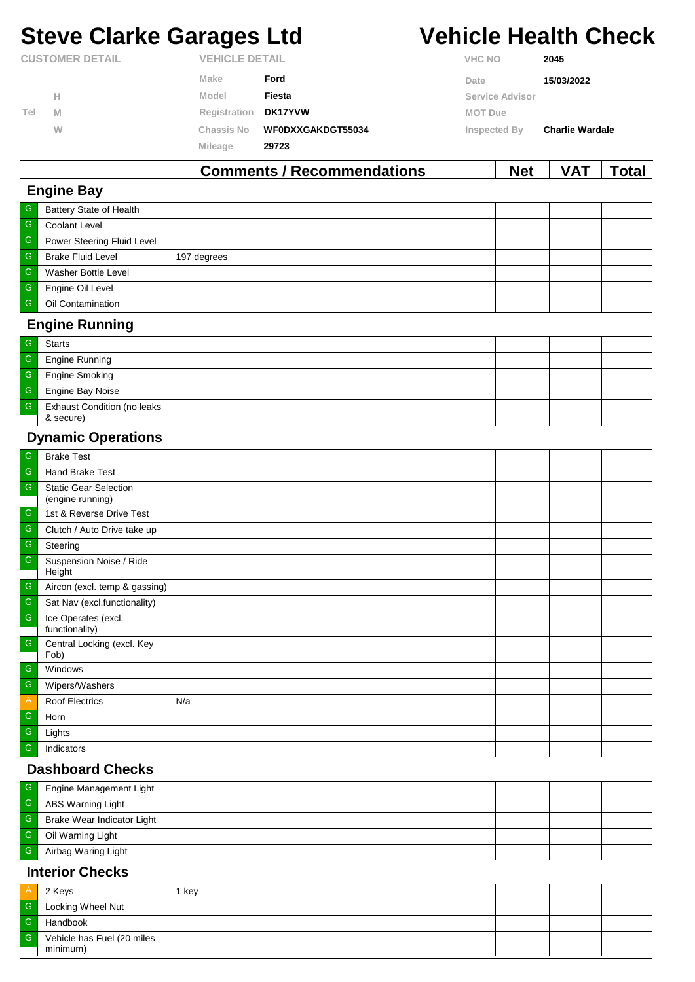# **Steve Clarke Garages Ltd Vehicle Health Check**

G Handbook

G

minimum)

Vehicle has Fuel (20 miles

|                        |   |                       | Commonto / Decemmondations |                | <b>MAL</b>             | 17 A T                 | <b>Tatal</b> |
|------------------------|---|-----------------------|----------------------------|----------------|------------------------|------------------------|--------------|
|                        |   | <b>Mileage</b>        | 29723                      |                |                        |                        |              |
|                        | W | <b>Chassis No</b>     | WF0DXXGAKDGT55034          | Inspected By   |                        | <b>Charlie Wardale</b> |              |
| Tel                    | M | Registration          | <b>DK17YVW</b>             | <b>MOT Due</b> |                        |                        |              |
|                        | Н | Model                 | Fiesta                     |                | <b>Service Advisor</b> |                        |              |
|                        |   | <b>Make</b>           | Ford                       | Date           |                        | 15/03/2022             |              |
| <b>CUSTOMER DETAIL</b> |   | <b>VEHICLE DETAIL</b> |                            | <b>VHC NO</b>  |                        | 2045                   |              |

|                         |                                                  | <b>Comments / Recommendations</b> | <b>Net</b> | <b>VAT</b> | <b>Total</b> |  |  |
|-------------------------|--------------------------------------------------|-----------------------------------|------------|------------|--------------|--|--|
| <b>Engine Bay</b>       |                                                  |                                   |            |            |              |  |  |
| G                       | Battery State of Health                          |                                   |            |            |              |  |  |
| ${\mathsf G}$           | Coolant Level                                    |                                   |            |            |              |  |  |
| ${\mathsf G}$           | Power Steering Fluid Level                       |                                   |            |            |              |  |  |
| G                       | <b>Brake Fluid Level</b>                         | 197 degrees                       |            |            |              |  |  |
| G                       | Washer Bottle Level                              |                                   |            |            |              |  |  |
| ${\mathsf G}$           | Engine Oil Level                                 |                                   |            |            |              |  |  |
| G                       | Oil Contamination                                |                                   |            |            |              |  |  |
|                         | <b>Engine Running</b>                            |                                   |            |            |              |  |  |
| G                       | <b>Starts</b>                                    |                                   |            |            |              |  |  |
| ${\mathsf G}$           | <b>Engine Running</b>                            |                                   |            |            |              |  |  |
| G                       | <b>Engine Smoking</b>                            |                                   |            |            |              |  |  |
| ${\mathsf G}$           | Engine Bay Noise                                 |                                   |            |            |              |  |  |
| ${\mathbb G}$           | Exhaust Condition (no leaks<br>& secure)         |                                   |            |            |              |  |  |
|                         | <b>Dynamic Operations</b>                        |                                   |            |            |              |  |  |
| G                       | <b>Brake Test</b>                                |                                   |            |            |              |  |  |
| G                       | Hand Brake Test                                  |                                   |            |            |              |  |  |
| ${\mathsf G}$           | <b>Static Gear Selection</b><br>(engine running) |                                   |            |            |              |  |  |
| G                       | 1st & Reverse Drive Test                         |                                   |            |            |              |  |  |
| G                       | Clutch / Auto Drive take up                      |                                   |            |            |              |  |  |
| ${\mathsf G}$           | Steering                                         |                                   |            |            |              |  |  |
| ${\mathbb G}$           | Suspension Noise / Ride<br>Height                |                                   |            |            |              |  |  |
| $\mathsf G$             | Aircon (excl. temp & gassing)                    |                                   |            |            |              |  |  |
| G                       | Sat Nav (excl.functionality)                     |                                   |            |            |              |  |  |
| ${\mathsf G}$           | Ice Operates (excl.<br>functionality)            |                                   |            |            |              |  |  |
| ${\mathsf G}$           | Central Locking (excl. Key<br>Fob)               |                                   |            |            |              |  |  |
| $\mathsf G$             | Windows                                          |                                   |            |            |              |  |  |
| $\overline{G}$          | Wipers/Washers                                   |                                   |            |            |              |  |  |
| A                       | Roof Electrics                                   | N/a                               |            |            |              |  |  |
| ${\mathsf G}$           | Horn                                             |                                   |            |            |              |  |  |
| G                       | Lights                                           |                                   |            |            |              |  |  |
| G                       | Indicators                                       |                                   |            |            |              |  |  |
| <b>Dashboard Checks</b> |                                                  |                                   |            |            |              |  |  |
| G                       | Engine Management Light                          |                                   |            |            |              |  |  |
| G                       | <b>ABS Warning Light</b>                         |                                   |            |            |              |  |  |
| ${\mathbb G}$           | Brake Wear Indicator Light                       |                                   |            |            |              |  |  |
| ${\mathsf G}$           | Oil Warning Light                                |                                   |            |            |              |  |  |
| G                       | Airbag Waring Light                              |                                   |            |            |              |  |  |
|                         | <b>Interior Checks</b>                           |                                   |            |            |              |  |  |
| A                       | 2 Keys                                           | 1 key                             |            |            |              |  |  |
| G                       | Locking Wheel Nut                                |                                   |            |            |              |  |  |